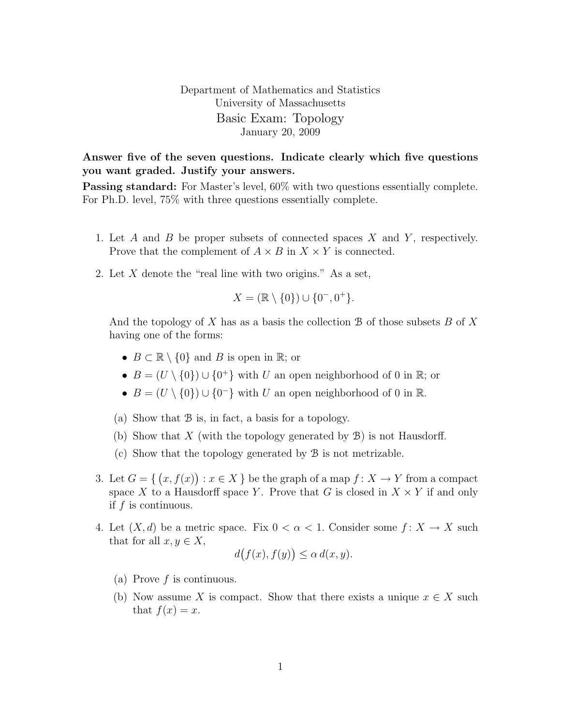Department of Mathematics and Statistics University of Massachusetts Basic Exam: Topology January 20, 2009

Answer five of the seven questions. Indicate clearly which five questions you want graded. Justify your answers.

Passing standard: For Master's level, 60% with two questions essentially complete. For Ph.D. level, 75% with three questions essentially complete.

- 1. Let  $A$  and  $B$  be proper subsets of connected spaces  $X$  and  $Y$ , respectively. Prove that the complement of  $A \times B$  in  $X \times Y$  is connected.
- 2. Let X denote the "real line with two origins." As a set,

$$
X = (\mathbb{R} \setminus \{0\}) \cup \{0^-, 0^+\}.
$$

And the topology of  $X$  has as a basis the collection  $\mathcal B$  of those subsets  $B$  of  $X$ having one of the forms:

- $B \subset \mathbb{R} \setminus \{0\}$  and B is open in  $\mathbb{R}$ ; or
- $B = (U \setminus \{0\}) \cup \{0^+\}$  with U an open neighborhood of 0 in R; or
- $B = (U \setminus \{0\}) \cup \{0\}$  with U an open neighborhood of 0 in R.
- (a) Show that B is, in fact, a basis for a topology.
- (b) Show that X (with the topology generated by  $\mathcal{B}$ ) is not Hausdorff.
- (c) Show that the topology generated by B is not metrizable.
- 3. Let  $G = \{ (x, f(x)) : x \in X \}$  be the graph of a map  $f : X \to Y$  from a compact space X to a Hausdorff space Y. Prove that G is closed in  $X \times Y$  if and only if f is continuous.
- 4. Let  $(X, d)$  be a metric space. Fix  $0 < \alpha < 1$ . Consider some  $f: X \to X$  such that for all  $x, y \in X$ ,

$$
d(f(x), f(y)) \leq \alpha d(x, y).
$$

- (a) Prove  $f$  is continuous.
- (b) Now assume X is compact. Show that there exists a unique  $x \in X$  such that  $f(x) = x$ .